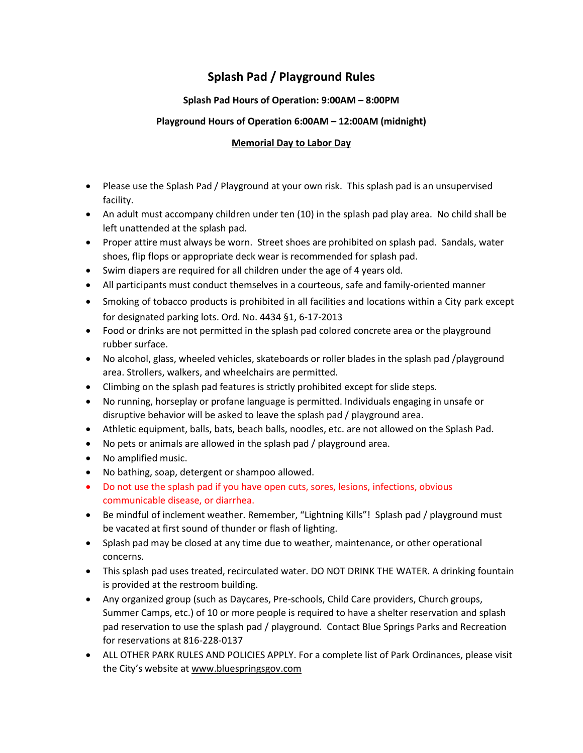## **Splash Pad / Playground Rules**

## **Splash Pad Hours of Operation: 9:00AM – 8:00PM**

## **Playground Hours of Operation 6:00AM – 12:00AM (midnight)**

## **Memorial Day to Labor Day**

- Please use the Splash Pad / Playground at your own risk. This splash pad is an unsupervised facility.
- An adult must accompany children under ten (10) in the splash pad play area. No child shall be left unattended at the splash pad.
- Proper attire must always be worn. Street shoes are prohibited on splash pad. Sandals, water shoes, flip flops or appropriate deck wear is recommended for splash pad.
- Swim diapers are required for all children under the age of 4 years old.
- All participants must conduct themselves in a courteous, safe and family-oriented manner
- Smoking of tobacco products is prohibited in all facilities and locations within a City park except for designated parking lots. Ord. No. 4434 §1, 6-17-2013
- Food or drinks are not permitted in the splash pad colored concrete area or the playground rubber surface.
- No alcohol, glass, wheeled vehicles, skateboards or roller blades in the splash pad /playground area. Strollers, walkers, and wheelchairs are permitted.
- Climbing on the splash pad features is strictly prohibited except for slide steps.
- No running, horseplay or profane language is permitted. Individuals engaging in unsafe or disruptive behavior will be asked to leave the splash pad / playground area.
- Athletic equipment, balls, bats, beach balls, noodles, etc. are not allowed on the Splash Pad.
- No pets or animals are allowed in the splash pad / playground area.
- No amplified music.
- No bathing, soap, detergent or shampoo allowed.
- Do not use the splash pad if you have open cuts, sores, lesions, infections, obvious communicable disease, or diarrhea.
- Be mindful of inclement weather. Remember, "Lightning Kills"! Splash pad / playground must be vacated at first sound of thunder or flash of lighting.
- Splash pad may be closed at any time due to weather, maintenance, or other operational concerns.
- This splash pad uses treated, recirculated water. DO NOT DRINK THE WATER. A drinking fountain is provided at the restroom building.
- Any organized group (such as Daycares, Pre-schools, Child Care providers, Church groups, Summer Camps, etc.) of 10 or more people is required to have a shelter reservation and splash pad reservation to use the splash pad / playground. Contact Blue Springs Parks and Recreation for reservations at 816-228-0137
- ALL OTHER PARK RULES AND POLICIES APPLY. For a complete list of Park Ordinances, please visit the City's website at [www.bluespringsgov.com](http://www.bluespringsgov.com/)